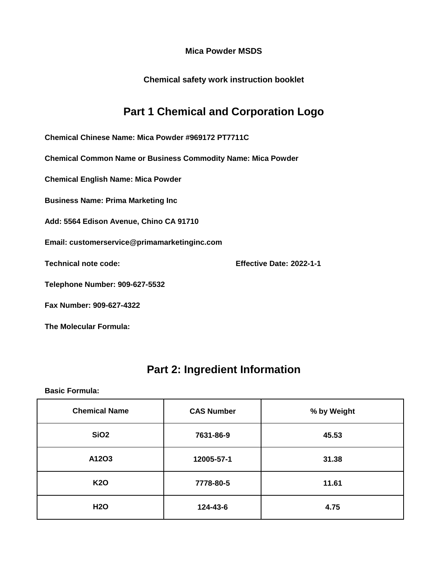**Chemical safety work instruction booklet**

## **Part 1 Chemical and Corporation Logo**

**Chemical Chinese Name: Mica Powder #969172 PT7711C**

**Chemical Common Name or Business Commodity Name: Mica Powder**

**Chemical English Name: Mica Powder**

**Business Name: Prima Marketing Inc**

**Add: 5564 Edison Avenue, Chino CA 91710**

**Email: customerservice@primamarketinginc.com**

**Technical note code: Effective Date: 2022-1-1**

**Telephone Number: 909-627-5532**

**Fax Number: 909-627-4322**

**The Molecular Formula:**

### **Part 2: Ingredient Information**

| <b>Chemical Name</b> | <b>CAS Number</b> | % by Weight |
|----------------------|-------------------|-------------|
| <b>SiO2</b>          | 7631-86-9         | 45.53       |
| A12O3                | 12005-57-1        | 31.38       |
| <b>K20</b>           | 7778-80-5         | 11.61       |
| <b>H2O</b>           | 124-43-6          | 4.75        |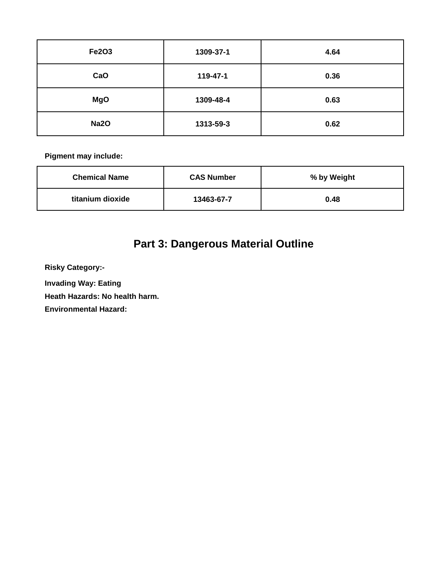| <b>Fe2O3</b> | 1309-37-1 | 4.64 |
|--------------|-----------|------|
| CaO          | 119-47-1  | 0.36 |
| <b>MgO</b>   | 1309-48-4 | 0.63 |
| <b>Na2O</b>  | 1313-59-3 | 0.62 |

| <b>Chemical Name</b> | <b>CAS Number</b> | % by Weight |
|----------------------|-------------------|-------------|
| titanium dioxide     | 13463-67-7        | 0.48        |

# **Part 3: Dangerous Material Outline**

**Risky Category:-**

**Invading Way: Eating** 

**Heath Hazards: No health harm.**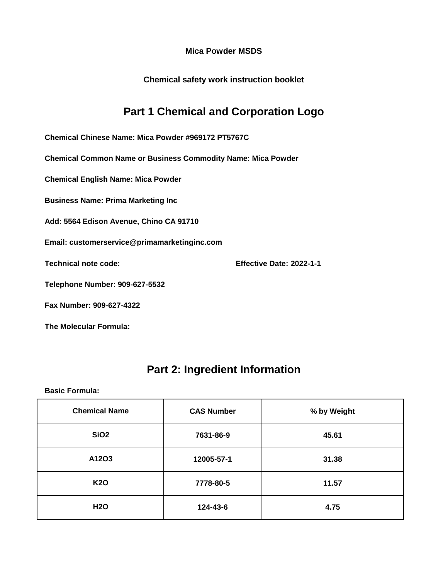**Chemical safety work instruction booklet**

## **Part 1 Chemical and Corporation Logo**

**Chemical Chinese Name: Mica Powder #969172 PT5767C**

**Chemical Common Name or Business Commodity Name: Mica Powder**

**Chemical English Name: Mica Powder**

**Business Name: Prima Marketing Inc**

**Add: 5564 Edison Avenue, Chino CA 91710**

**Email: customerservice@primamarketinginc.com**

**Technical note code: Effective Date: 2022-1-1**

**Telephone Number: 909-627-5532**

**Fax Number: 909-627-4322**

**The Molecular Formula:**

### **Part 2: Ingredient Information**

| <b>Chemical Name</b> | <b>CAS Number</b> | % by Weight |
|----------------------|-------------------|-------------|
| <b>SiO2</b>          | 7631-86-9         | 45.61       |
| A12O3                | 12005-57-1        | 31.38       |
| <b>K20</b>           | 7778-80-5         | 11.57       |
| <b>H2O</b>           | 124-43-6          | 4.75        |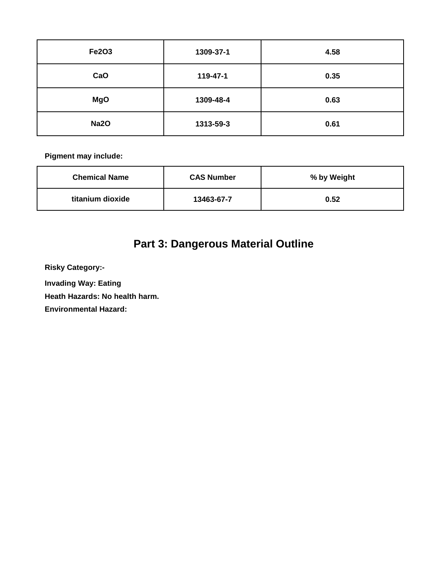| Fe2O3       | 1309-37-1 | 4.58 |
|-------------|-----------|------|
| CaO         | 119-47-1  | 0.35 |
| <b>MgO</b>  | 1309-48-4 | 0.63 |
| <b>Na2O</b> | 1313-59-3 | 0.61 |

| <b>Chemical Name</b> | <b>CAS Number</b> | % by Weight |
|----------------------|-------------------|-------------|
| titanium dioxide     | 13463-67-7        | 0.52        |

# **Part 3: Dangerous Material Outline**

**Risky Category:-**

**Invading Way: Eating** 

**Heath Hazards: No health harm.**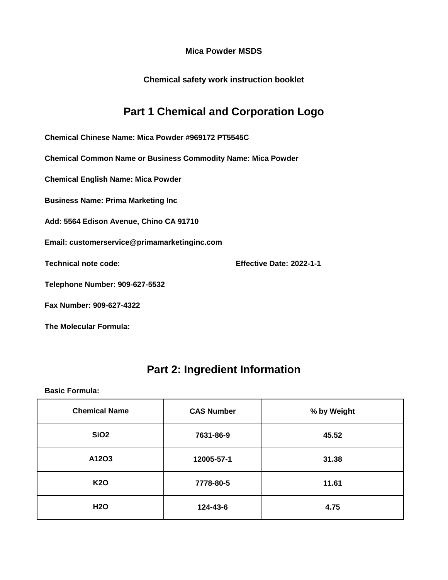**Chemical safety work instruction booklet**

## **Part 1 Chemical and Corporation Logo**

**Chemical Chinese Name: Mica Powder #969172 PT5545C**

**Chemical Common Name or Business Commodity Name: Mica Powder**

**Chemical English Name: Mica Powder**

**Business Name: Prima Marketing Inc**

**Add: 5564 Edison Avenue, Chino CA 91710**

**Email: customerservice@primamarketinginc.com**

**Technical note code: Effective Date: 2022-1-1**

**Telephone Number: 909-627-5532**

**Fax Number: 909-627-4322**

**The Molecular Formula:**

### **Part 2: Ingredient Information**

| <b>Chemical Name</b> | <b>CAS Number</b> | % by Weight |
|----------------------|-------------------|-------------|
| <b>SiO2</b>          | 7631-86-9         | 45.52       |
| A12O3                | 12005-57-1        | 31.38       |
| <b>K20</b>           | 7778-80-5         | 11.61       |
| <b>H2O</b>           | 124-43-6          | 4.75        |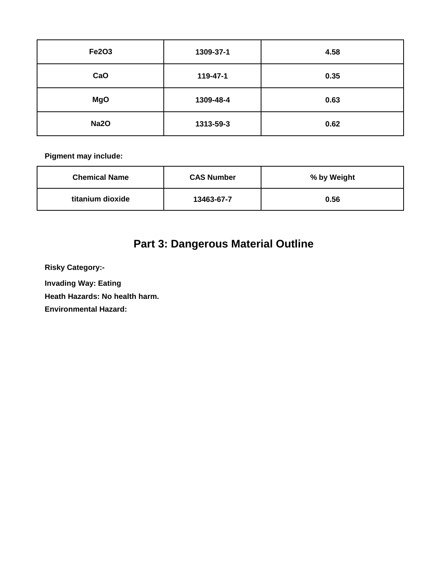| <b>Fe2O3</b> | 1309-37-1 | 4.58 |
|--------------|-----------|------|
| CaO          | 119-47-1  | 0.35 |
| <b>MgO</b>   | 1309-48-4 | 0.63 |
| <b>Na2O</b>  | 1313-59-3 | 0.62 |

| <b>Chemical Name</b> | <b>CAS Number</b> | % by Weight |
|----------------------|-------------------|-------------|
| titanium dioxide     | 13463-67-7        | 0.56        |

# **Part 3: Dangerous Material Outline**

**Risky Category:-**

**Invading Way: Eating** 

**Heath Hazards: No health harm.**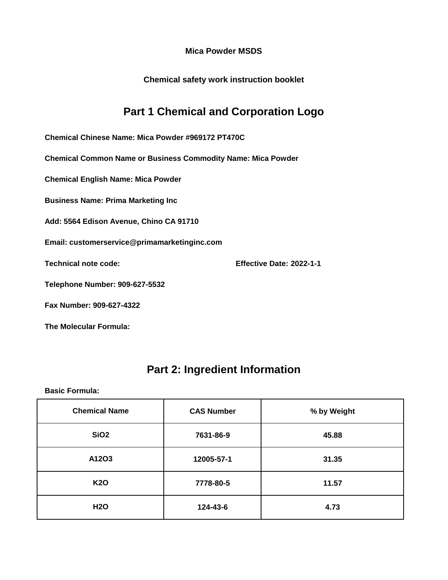**Chemical safety work instruction booklet**

### **Part 1 Chemical and Corporation Logo**

**Chemical Chinese Name: Mica Powder #969172 PT470C**

**Chemical Common Name or Business Commodity Name: Mica Powder**

**Chemical English Name: Mica Powder**

**Business Name: Prima Marketing Inc**

**Add: 5564 Edison Avenue, Chino CA 91710**

**Email: customerservice@primamarketinginc.com**

**Technical note code: Effective Date: 2022-1-1**

**Telephone Number: 909-627-5532**

**Fax Number: 909-627-4322**

**The Molecular Formula:**

#### **Part 2: Ingredient Information**

| <b>Chemical Name</b> | <b>CAS Number</b> | % by Weight |
|----------------------|-------------------|-------------|
| SiO <sub>2</sub>     | 7631-86-9         | 45.88       |
| A12O3                | 12005-57-1        | 31.35       |
| <b>K20</b>           | 7778-80-5         | 11.57       |
| <b>H2O</b>           | 124-43-6          | 4.73        |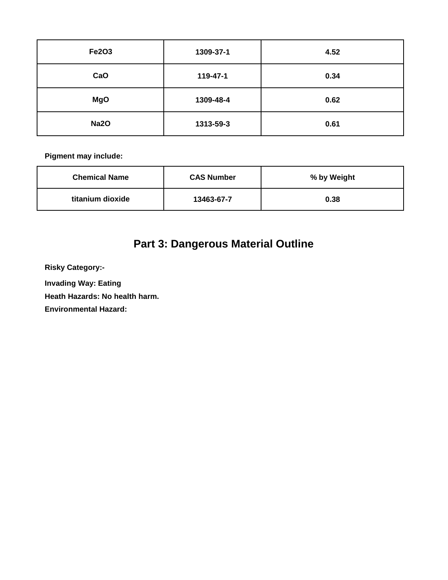| <b>Fe2O3</b> | 1309-37-1 | 4.52 |
|--------------|-----------|------|
| CaO          | 119-47-1  | 0.34 |
| <b>MgO</b>   | 1309-48-4 | 0.62 |
| <b>Na2O</b>  | 1313-59-3 | 0.61 |

| <b>Chemical Name</b> | <b>CAS Number</b> | % by Weight |
|----------------------|-------------------|-------------|
| titanium dioxide     | 13463-67-7        | 0.38        |

# **Part 3: Dangerous Material Outline**

**Risky Category:-**

**Invading Way: Eating** 

**Heath Hazards: No health harm.**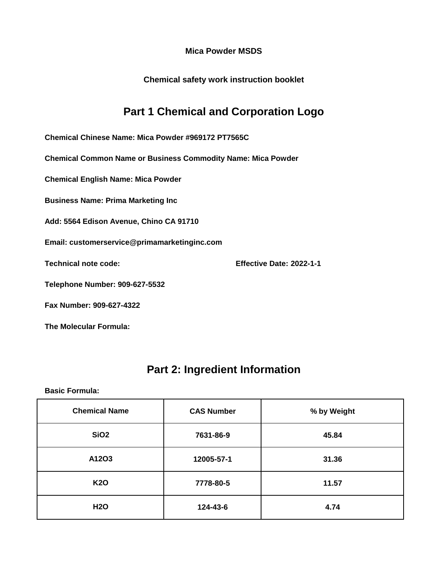**Chemical safety work instruction booklet**

### **Part 1 Chemical and Corporation Logo**

**Chemical Chinese Name: Mica Powder #969172 PT7565C**

**Chemical Common Name or Business Commodity Name: Mica Powder**

**Chemical English Name: Mica Powder**

**Business Name: Prima Marketing Inc**

**Add: 5564 Edison Avenue, Chino CA 91710**

**Email: customerservice@primamarketinginc.com**

**Technical note code: Effective Date: 2022-1-1**

**Telephone Number: 909-627-5532**

**Fax Number: 909-627-4322**

**The Molecular Formula:**

#### **Part 2: Ingredient Information**

| <b>Chemical Name</b> | <b>CAS Number</b> | % by Weight |
|----------------------|-------------------|-------------|
| <b>SiO2</b>          | 7631-86-9         | 45.84       |
| A12O3                | 12005-57-1        | 31.36       |
| <b>K20</b>           | 7778-80-5         | 11.57       |
| <b>H2O</b>           | 124-43-6          | 4.74        |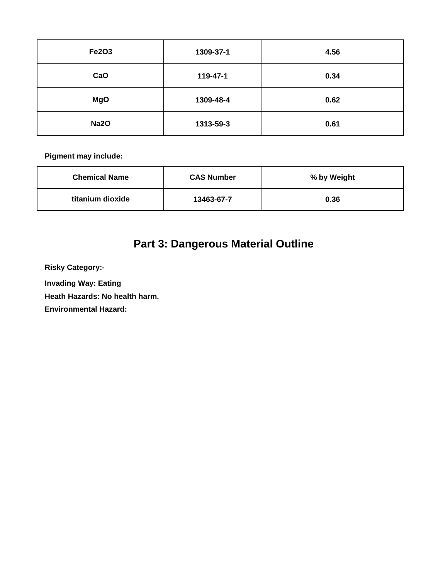| <b>Fe2O3</b> | 1309-37-1 | 4.56 |
|--------------|-----------|------|
| CaO          | 119-47-1  | 0.34 |
| <b>MgO</b>   | 1309-48-4 | 0.62 |
| <b>Na2O</b>  | 1313-59-3 | 0.61 |

| <b>Chemical Name</b> | <b>CAS Number</b> | % by Weight |
|----------------------|-------------------|-------------|
| titanium dioxide     | 13463-67-7        | 0.36        |

# **Part 3: Dangerous Material Outline**

**Risky Category:-**

**Invading Way: Eating** 

**Heath Hazards: No health harm.**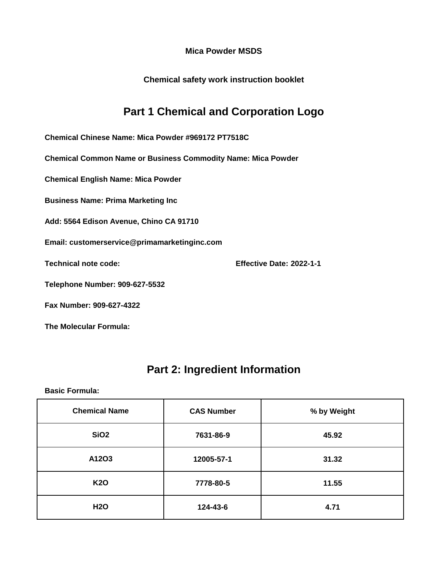**Chemical safety work instruction booklet**

## **Part 1 Chemical and Corporation Logo**

**Chemical Chinese Name: Mica Powder #969172 PT7518C**

**Chemical Common Name or Business Commodity Name: Mica Powder**

**Chemical English Name: Mica Powder**

**Business Name: Prima Marketing Inc**

**Add: 5564 Edison Avenue, Chino CA 91710**

**Email: customerservice@primamarketinginc.com**

**Technical note code: Effective Date: 2022-1-1**

**Telephone Number: 909-627-5532**

**Fax Number: 909-627-4322**

**The Molecular Formula:**

### **Part 2: Ingredient Information**

| <b>Chemical Name</b> | <b>CAS Number</b> | % by Weight |
|----------------------|-------------------|-------------|
| SiO <sub>2</sub>     | 7631-86-9         | 45.92       |
| A12O3                | 12005-57-1        | 31.32       |
| <b>K20</b>           | 7778-80-5         | 11.55       |
| <b>H2O</b>           | 124-43-6          | 4.71        |